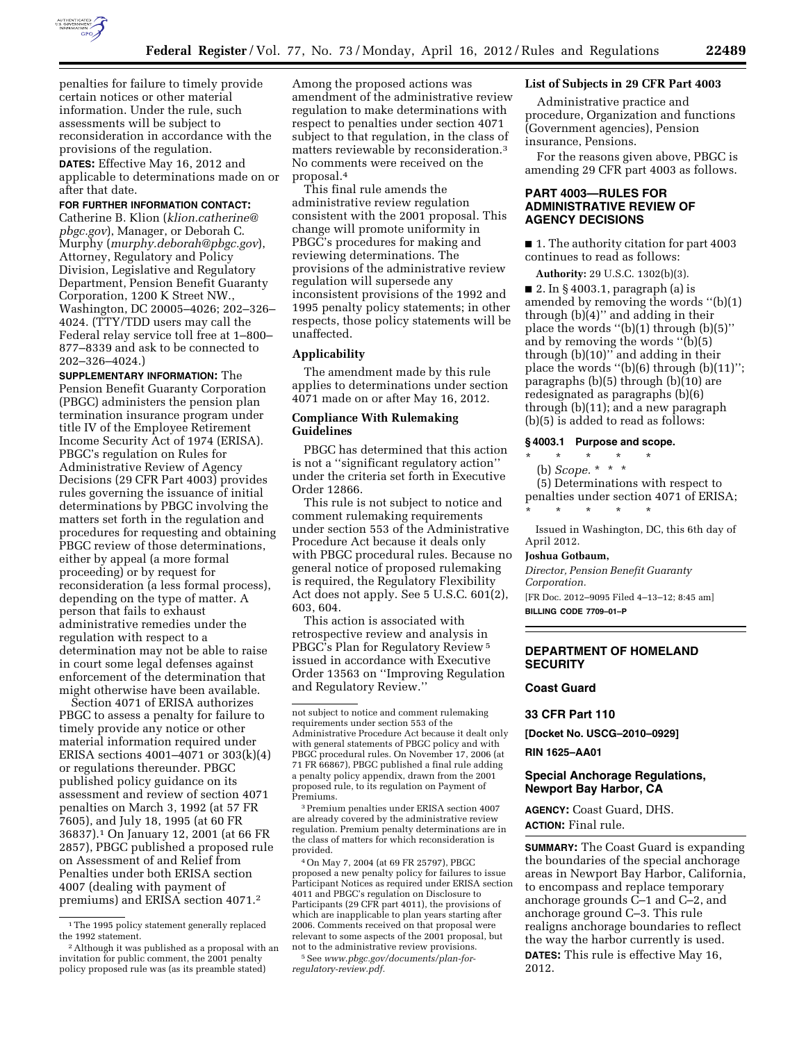

penalties for failure to timely provide certain notices or other material information. Under the rule, such assessments will be subject to reconsideration in accordance with the provisions of the regulation.

**DATES:** Effective May 16, 2012 and applicable to determinations made on or after that date.

#### **FOR FURTHER INFORMATION CONTACT:**

Catherine B. Klion (*[klion.catherine@](mailto:klion.catherine@pbgc.gov) [pbgc.gov](mailto:klion.catherine@pbgc.gov)*), Manager, or Deborah C. Murphy (*[murphy.deborah@pbgc.gov](mailto:murphy.deborah@pbgc.gov)*), Attorney, Regulatory and Policy Division, Legislative and Regulatory Department, Pension Benefit Guaranty Corporation, 1200 K Street NW., Washington, DC 20005–4026; 202–326– 4024. (TTY/TDD users may call the Federal relay service toll free at 1–800– 877–8339 and ask to be connected to 202–326–4024.)

**SUPPLEMENTARY INFORMATION:** The Pension Benefit Guaranty Corporation (PBGC) administers the pension plan termination insurance program under title IV of the Employee Retirement Income Security Act of 1974 (ERISA). PBGC's regulation on Rules for Administrative Review of Agency Decisions (29 CFR Part 4003) provides rules governing the issuance of initial determinations by PBGC involving the matters set forth in the regulation and procedures for requesting and obtaining PBGC review of those determinations, either by appeal (a more formal proceeding) or by request for reconsideration (a less formal process), depending on the type of matter. A person that fails to exhaust administrative remedies under the regulation with respect to a determination may not be able to raise in court some legal defenses against enforcement of the determination that might otherwise have been available.

Section 4071 of ERISA authorizes PBGC to assess a penalty for failure to timely provide any notice or other material information required under ERISA sections 4001–4071 or 303(k)(4) or regulations thereunder. PBGC published policy guidance on its assessment and review of section 4071 penalties on March 3, 1992 (at 57 FR 7605), and July 18, 1995 (at 60 FR 36837).1 On January 12, 2001 (at 66 FR 2857), PBGC published a proposed rule on Assessment of and Relief from Penalties under both ERISA section 4007 (dealing with payment of premiums) and ERISA section 4071.2

Among the proposed actions was amendment of the administrative review regulation to make determinations with respect to penalties under section 4071 subject to that regulation, in the class of matters reviewable by reconsideration.3 No comments were received on the proposal.4

This final rule amends the administrative review regulation consistent with the 2001 proposal. This change will promote uniformity in PBGC's procedures for making and reviewing determinations. The provisions of the administrative review regulation will supersede any inconsistent provisions of the 1992 and 1995 penalty policy statements; in other respects, those policy statements will be unaffected.

### **Applicability**

The amendment made by this rule applies to determinations under section 4071 made on or after May 16, 2012.

## **Compliance With Rulemaking Guidelines**

PBGC has determined that this action is not a ''significant regulatory action'' under the criteria set forth in Executive Order 12866.

This rule is not subject to notice and comment rulemaking requirements under section 553 of the Administrative Procedure Act because it deals only with PBGC procedural rules. Because no general notice of proposed rulemaking is required, the Regulatory Flexibility Act does not apply. See 5 U.S.C. 601(2), 603, 604.

This action is associated with retrospective review and analysis in PBGC's Plan for Regulatory Review 5 issued in accordance with Executive Order 13563 on ''Improving Regulation and Regulatory Review.''

3Premium penalties under ERISA section 4007 are already covered by the administrative review regulation. Premium penalty determinations are in the class of matters for which reconsideration is provided.

4On May 7, 2004 (at 69 FR 25797), PBGC proposed a new penalty policy for failures to issue Participant Notices as required under ERISA section 4011 and PBGC's regulation on Disclosure to Participants (29 CFR part 4011), the provisions of which are inapplicable to plan years starting after 2006. Comments received on that proposal were relevant to some aspects of the 2001 proposal, but not to the administrative review provisions.

### **List of Subjects in 29 CFR Part 4003**

Administrative practice and procedure, Organization and functions (Government agencies), Pension insurance, Pensions.

For the reasons given above, PBGC is amending 29 CFR part 4003 as follows.

# **PART 4003—RULES FOR ADMINISTRATIVE REVIEW OF AGENCY DECISIONS**

■ 1. The authority citation for part 4003 continues to read as follows:

**Authority:** 29 U.S.C. 1302(b)(3).

■ 2. In § 4003.1, paragraph (a) is amended by removing the words ''(b)(1) through (b)(4)'' and adding in their place the words ''(b)(1) through (b)(5)'' and by removing the words ''(b)(5) through (b)(10)'' and adding in their place the words ''(b)(6) through (b)(11)''; paragraphs (b)(5) through (b)(10) are redesignated as paragraphs (b)(6) through (b)(11); and a new paragraph (b)(5) is added to read as follows:

# **§ 4003.1 Purpose and scope.**

\* \* \* \* \*

(b) *Scope.* \* \* \*

(5) Determinations with respect to penalties under section 4071 of ERISA; \* \* \* \* \*

Issued in Washington, DC, this 6th day of April 2012.

### **Joshua Gotbaum,**

*Director, Pension Benefit Guaranty Corporation.* 

[FR Doc. 2012–9095 Filed 4–13–12; 8:45 am]

**BILLING CODE 7709–01–P** 

# **DEPARTMENT OF HOMELAND SECURITY**

#### **Coast Guard**

**33 CFR Part 110** 

**[Docket No. USCG–2010–0929]** 

## **RIN 1625–AA01**

### **Special Anchorage Regulations, Newport Bay Harbor, CA**

**AGENCY:** Coast Guard, DHS. **ACTION:** Final rule.

**SUMMARY:** The Coast Guard is expanding the boundaries of the special anchorage areas in Newport Bay Harbor, California, to encompass and replace temporary anchorage grounds C–1 and C–2, and anchorage ground C–3. This rule realigns anchorage boundaries to reflect the way the harbor currently is used. **DATES:** This rule is effective May 16, 2012.

<sup>&</sup>lt;sup>1</sup>The 1995 policy statement generally replaced the 1992 statement.

<sup>2</sup>Although it was published as a proposal with an invitation for public comment, the 2001 penalty policy proposed rule was (as its preamble stated)

not subject to notice and comment rulemaking requirements under section 553 of the Administrative Procedure Act because it dealt only with general statements of PBGC policy and with PBGC procedural rules. On November 17, 2006 (at 71 FR 66867), PBGC published a final rule adding a penalty policy appendix, drawn from the 2001 proposed rule, to its regulation on Payment of Premiums.

<sup>5</sup>See *[www.pbgc.gov/documents/plan-for](http://www.pbgc.gov/documents/plan-for-regulatory-review.pdf)[regulatory-review.pdf.](http://www.pbgc.gov/documents/plan-for-regulatory-review.pdf)*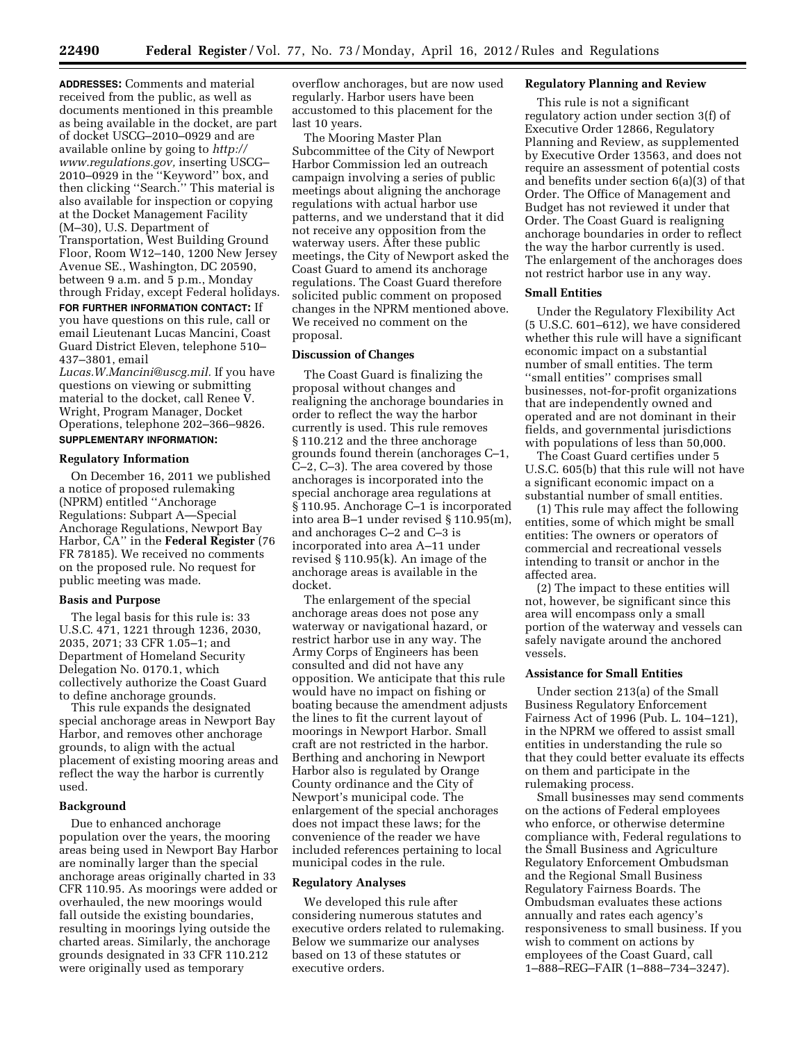**ADDRESSES:** Comments and material received from the public, as well as documents mentioned in this preamble as being available in the docket, are part of docket USCG–2010–0929 and are available online by going to *[http://](http://www.regulations.gov)  [www.regulations.gov,](http://www.regulations.gov)* inserting USCG– 2010–0929 in the ''Keyword'' box, and then clicking ''Search.'' This material is also available for inspection or copying at the Docket Management Facility (M–30), U.S. Department of Transportation, West Building Ground Floor, Room W12–140, 1200 New Jersey

Avenue SE., Washington, DC 20590, between 9 a.m. and 5 p.m., Monday through Friday, except Federal holidays. **FOR FURTHER INFORMATION CONTACT:** If

you have questions on this rule, call or email Lieutenant Lucas Mancini, Coast Guard District Eleven, telephone 510– 437–3801, email

*[Lucas.W.Mancini@uscg.mil.](mailto:Lucas.W.Mancini@uscg.mil)* If you have questions on viewing or submitting material to the docket, call Renee V. Wright, Program Manager, Docket Operations, telephone 202–366–9826. **SUPPLEMENTARY INFORMATION:** 

#### **Regulatory Information**

On December 16, 2011 we published a notice of proposed rulemaking (NPRM) entitled ''Anchorage Regulations: Subpart A—Special Anchorage Regulations, Newport Bay Harbor, CA'' in the **Federal Register** (76 FR 78185). We received no comments on the proposed rule. No request for public meeting was made.

### **Basis and Purpose**

The legal basis for this rule is: 33 U.S.C. 471, 1221 through 1236, 2030, 2035, 2071; 33 CFR 1.05–1; and Department of Homeland Security Delegation No. 0170.1, which collectively authorize the Coast Guard to define anchorage grounds.

This rule expands the designated special anchorage areas in Newport Bay Harbor, and removes other anchorage grounds, to align with the actual placement of existing mooring areas and reflect the way the harbor is currently used.

### **Background**

Due to enhanced anchorage population over the years, the mooring areas being used in Newport Bay Harbor are nominally larger than the special anchorage areas originally charted in 33 CFR 110.95. As moorings were added or overhauled, the new moorings would fall outside the existing boundaries, resulting in moorings lying outside the charted areas. Similarly, the anchorage grounds designated in 33 CFR 110.212 were originally used as temporary

overflow anchorages, but are now used regularly. Harbor users have been accustomed to this placement for the last 10 years.

The Mooring Master Plan Subcommittee of the City of Newport Harbor Commission led an outreach campaign involving a series of public meetings about aligning the anchorage regulations with actual harbor use patterns, and we understand that it did not receive any opposition from the waterway users. After these public meetings, the City of Newport asked the Coast Guard to amend its anchorage regulations. The Coast Guard therefore solicited public comment on proposed changes in the NPRM mentioned above. We received no comment on the proposal.

### **Discussion of Changes**

The Coast Guard is finalizing the proposal without changes and realigning the anchorage boundaries in order to reflect the way the harbor currently is used. This rule removes § 110.212 and the three anchorage grounds found therein (anchorages C–1, C–2, C–3). The area covered by those anchorages is incorporated into the special anchorage area regulations at § 110.95. Anchorage C–1 is incorporated into area B–1 under revised § 110.95(m), and anchorages C–2 and C–3 is incorporated into area A–11 under revised § 110.95(k). An image of the anchorage areas is available in the docket.

The enlargement of the special anchorage areas does not pose any waterway or navigational hazard, or restrict harbor use in any way. The Army Corps of Engineers has been consulted and did not have any opposition. We anticipate that this rule would have no impact on fishing or boating because the amendment adjusts the lines to fit the current layout of moorings in Newport Harbor. Small craft are not restricted in the harbor. Berthing and anchoring in Newport Harbor also is regulated by Orange County ordinance and the City of Newport's municipal code. The enlargement of the special anchorages does not impact these laws; for the convenience of the reader we have included references pertaining to local municipal codes in the rule.

# **Regulatory Analyses**

We developed this rule after considering numerous statutes and executive orders related to rulemaking. Below we summarize our analyses based on 13 of these statutes or executive orders.

# **Regulatory Planning and Review**

This rule is not a significant regulatory action under section 3(f) of Executive Order 12866, Regulatory Planning and Review, as supplemented by Executive Order 13563, and does not require an assessment of potential costs and benefits under section 6(a)(3) of that Order. The Office of Management and Budget has not reviewed it under that Order. The Coast Guard is realigning anchorage boundaries in order to reflect the way the harbor currently is used. The enlargement of the anchorages does not restrict harbor use in any way.

#### **Small Entities**

Under the Regulatory Flexibility Act (5 U.S.C. 601–612), we have considered whether this rule will have a significant economic impact on a substantial number of small entities. The term ''small entities'' comprises small businesses, not-for-profit organizations that are independently owned and operated and are not dominant in their fields, and governmental jurisdictions with populations of less than 50,000.

The Coast Guard certifies under 5 U.S.C. 605(b) that this rule will not have a significant economic impact on a substantial number of small entities.

(1) This rule may affect the following entities, some of which might be small entities: The owners or operators of commercial and recreational vessels intending to transit or anchor in the affected area.

(2) The impact to these entities will not, however, be significant since this area will encompass only a small portion of the waterway and vessels can safely navigate around the anchored vessels.

### **Assistance for Small Entities**

Under section 213(a) of the Small Business Regulatory Enforcement Fairness Act of 1996 (Pub. L. 104–121), in the NPRM we offered to assist small entities in understanding the rule so that they could better evaluate its effects on them and participate in the rulemaking process.

Small businesses may send comments on the actions of Federal employees who enforce, or otherwise determine compliance with, Federal regulations to the Small Business and Agriculture Regulatory Enforcement Ombudsman and the Regional Small Business Regulatory Fairness Boards. The Ombudsman evaluates these actions annually and rates each agency's responsiveness to small business. If you wish to comment on actions by employees of the Coast Guard, call 1–888–REG–FAIR (1–888–734–3247).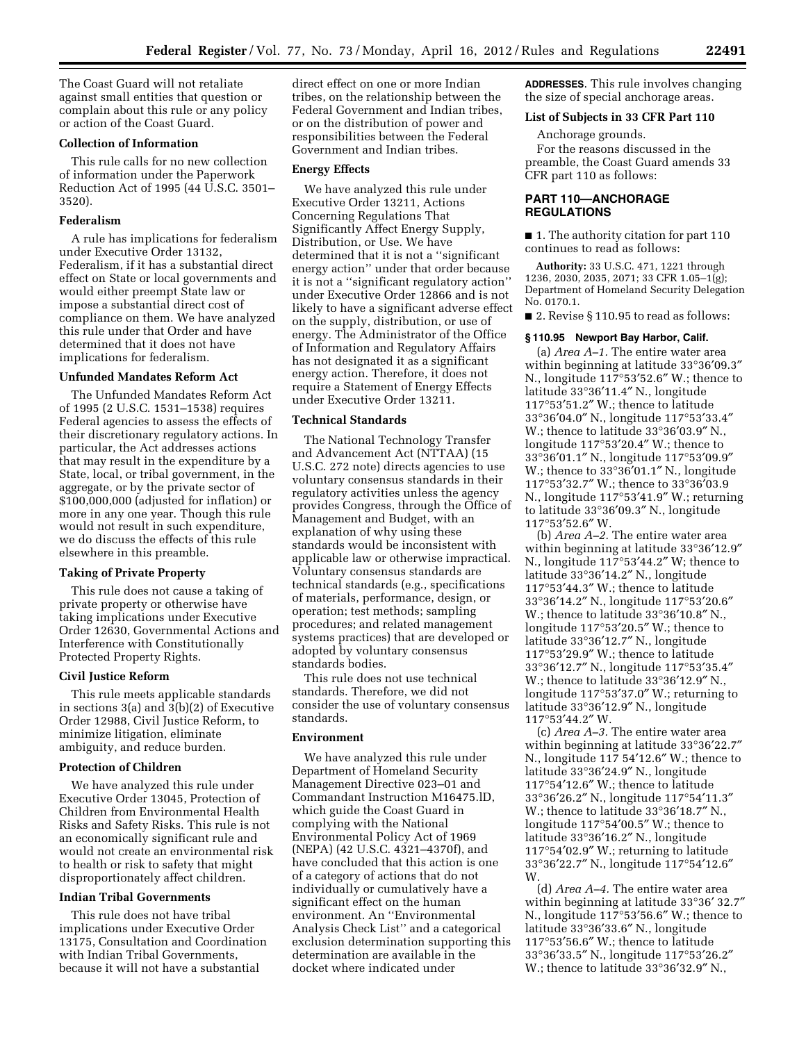The Coast Guard will not retaliate against small entities that question or complain about this rule or any policy or action of the Coast Guard.

# **Collection of Information**

This rule calls for no new collection of information under the Paperwork Reduction Act of 1995 (44 U.S.C. 3501– 3520).

#### **Federalism**

A rule has implications for federalism under Executive Order 13132, Federalism, if it has a substantial direct effect on State or local governments and would either preempt State law or impose a substantial direct cost of compliance on them. We have analyzed this rule under that Order and have determined that it does not have implications for federalism.

#### **Unfunded Mandates Reform Act**

The Unfunded Mandates Reform Act of 1995 (2 U.S.C. 1531–1538) requires Federal agencies to assess the effects of their discretionary regulatory actions. In particular, the Act addresses actions that may result in the expenditure by a State, local, or tribal government, in the aggregate, or by the private sector of \$100,000,000 (adjusted for inflation) or more in any one year. Though this rule would not result in such expenditure, we do discuss the effects of this rule elsewhere in this preamble.

### **Taking of Private Property**

This rule does not cause a taking of private property or otherwise have taking implications under Executive Order 12630, Governmental Actions and Interference with Constitutionally Protected Property Rights.

### **Civil Justice Reform**

This rule meets applicable standards in sections 3(a) and 3(b)(2) of Executive Order 12988, Civil Justice Reform, to minimize litigation, eliminate ambiguity, and reduce burden.

### **Protection of Children**

We have analyzed this rule under Executive Order 13045, Protection of Children from Environmental Health Risks and Safety Risks. This rule is not an economically significant rule and would not create an environmental risk to health or risk to safety that might disproportionately affect children.

#### **Indian Tribal Governments**

This rule does not have tribal implications under Executive Order 13175, Consultation and Coordination with Indian Tribal Governments, because it will not have a substantial

direct effect on one or more Indian tribes, on the relationship between the Federal Government and Indian tribes, or on the distribution of power and responsibilities between the Federal Government and Indian tribes.

#### **Energy Effects**

We have analyzed this rule under Executive Order 13211, Actions Concerning Regulations That Significantly Affect Energy Supply, Distribution, or Use. We have determined that it is not a ''significant energy action'' under that order because it is not a ''significant regulatory action'' under Executive Order 12866 and is not likely to have a significant adverse effect on the supply, distribution, or use of energy. The Administrator of the Office of Information and Regulatory Affairs has not designated it as a significant energy action. Therefore, it does not require a Statement of Energy Effects under Executive Order 13211.

### **Technical Standards**

The National Technology Transfer and Advancement Act (NTTAA) (15 U.S.C. 272 note) directs agencies to use voluntary consensus standards in their regulatory activities unless the agency provides Congress, through the Office of Management and Budget, with an explanation of why using these standards would be inconsistent with applicable law or otherwise impractical. Voluntary consensus standards are technical standards (e.g., specifications of materials, performance, design, or operation; test methods; sampling procedures; and related management systems practices) that are developed or adopted by voluntary consensus standards bodies.

This rule does not use technical standards. Therefore, we did not consider the use of voluntary consensus standards.

#### **Environment**

We have analyzed this rule under Department of Homeland Security Management Directive 023–01 and Commandant Instruction M16475.lD, which guide the Coast Guard in complying with the National Environmental Policy Act of 1969 (NEPA) (42 U.S.C. 4321–4370f), and have concluded that this action is one of a category of actions that do not individually or cumulatively have a significant effect on the human environment. An ''Environmental Analysis Check List'' and a categorical exclusion determination supporting this determination are available in the docket where indicated under

**ADDRESSES**. This rule involves changing the size of special anchorage areas.

### **List of Subjects in 33 CFR Part 110**

Anchorage grounds. For the reasons discussed in the preamble, the Coast Guard amends 33 CFR part 110 as follows:

### **PART 110—ANCHORAGE REGULATIONS**

■ 1. The authority citation for part 110 continues to read as follows:

**Authority:** 33 U.S.C. 471, 1221 through 1236, 2030, 2035, 2071; 33 CFR 1.05–1(g); Department of Homeland Security Delegation No. 0170.1.

■ 2. Revise § 110.95 to read as follows:

# **§ 110.95 Newport Bay Harbor, Calif.**

(a) *Area A–1.* The entire water area within beginning at latitude 33°36′09.3″ N., longitude 117°53′52.6″ W.; thence to latitude 33°36′11.4″ N., longitude 117°53′51.2″ W.; thence to latitude 33°36′04.0″ N., longitude 117°53′33.4″ W.; thence to latitude 33°36′03.9″ N., longitude 117°53′20.4″ W.; thence to 33°36′01.1″ N., longitude 117°53′09.9″ W.; thence to 33°36′01.1″ N., longitude 117°53′32.7″ W.; thence to 33°36′03.9 N., longitude 117°53′41.9″ W.; returning to latitude 33°36′09.3″ N., longitude 117°53′52.6″ W.

(b) *Area A–2.* The entire water area within beginning at latitude 33°36′12.9″ N., longitude 117°53′44.2″ W; thence to latitude 33°36′14.2″ N., longitude 117°53′44.3″ W.; thence to latitude 33°36′14.2″ N., longitude 117°53′20.6″ W.; thence to latitude 33°36′10.8″ N., longitude 117°53′20.5″ W.; thence to latitude 33°36′12.7″ N., longitude 117°53′29.9″ W.; thence to latitude 33°36′12.7″ N., longitude 117°53′35.4″ W.; thence to latitude 33°36′12.9″ N., longitude 117°53′37.0″ W.; returning to latitude 33°36′12.9″ N., longitude 117°53′44.2″ W.

(c) *Area A–3.* The entire water area within beginning at latitude 33°36′22.7″ N., longitude 117 54′12.6″ W.; thence to latitude 33°36′24.9″ N., longitude 117°54′12.6″ W.; thence to latitude 33°36′26.2″ N., longitude 117°54′11.3″ W.; thence to latitude 33°36′18.7″ N., longitude 117°54′00.5″ W.; thence to latitude 33°36′16.2″ N., longitude 117°54′02.9″ W.; returning to latitude 33°36′22.7″ N., longitude 117°54′12.6″ W.

(d) *Area A–4.* The entire water area within beginning at latitude 33°36′ 32.7″ N., longitude 117°53′56.6″ W.; thence to latitude 33°36′33.6″ N., longitude 117°53′56.6″ W.; thence to latitude 33°36′33.5″ N., longitude 117°53′26.2″ W.; thence to latitude 33°36′32.9″ N.,